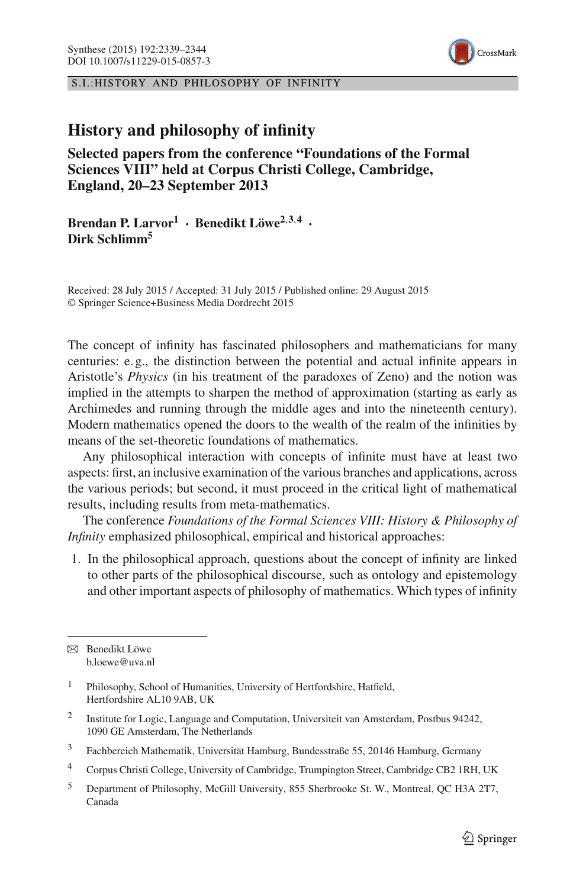

S.I.:HISTORY AND PHILOSOPHY OF INFINITY

# **History and philosophy of infinity**

**Selected papers from the conference "Foundations of the Formal Sciences VIII" held at Corpus Christi College, Cambridge, England, 20–23 September 2013**

**Brendan P. Larvor1 · Benedikt Löwe2***,***3***,***<sup>4</sup> · Dirk Schlimm<sup>5</sup>**

Received: 28 July 2015 / Accepted: 31 July 2015 / Published online: 29 August 2015 © Springer Science+Business Media Dordrecht 2015

The concept of infinity has fascinated philosophers and mathematicians for many centuries: e. g., the distinction between the potential and actual infinite appears in Aristotle's *Physics* (in his treatment of the paradoxes of Zeno) and the notion was implied in the attempts to sharpen the method of approximation (starting as early as Archimedes and running through the middle ages and into the nineteenth century). Modern mathematics opened the doors to the wealth of the realm of the infinities by means of the set-theoretic foundations of mathematics.

Any philosophical interaction with concepts of infinite must have at least two aspects: first, an inclusive examination of the various branches and applications, across the various periods; but second, it must proceed in the critical light of mathematical results, including results from meta-mathematics.

The conference *Foundations of the Formal Sciences VIII: History & Philosophy of Infinity* emphasized philosophical, empirical and historical approaches:

1. In the philosophical approach, questions about the concept of infinity are linked to other parts of the philosophical discourse, such as ontology and epistemology and other important aspects of philosophy of mathematics. Which types of infinity

 $\boxtimes$  Benedikt Löwe b.loewe@uva.nl

- <sup>2</sup> Institute for Logic, Language and Computation, Universiteit van Amsterdam, Postbus 94242, 1090 GE Amsterdam, The Netherlands
- <sup>3</sup> Fachbereich Mathematik, Universität Hamburg, Bundesstraße 55, 20146 Hamburg, Germany
- <sup>4</sup> Corpus Christi College, University of Cambridge, Trumpington Street, Cambridge CB2 1RH, UK
- <sup>5</sup> Department of Philosophy, McGill University, 855 Sherbrooke St. W., Montreal, QC H3A 2T7, Canada

<sup>&</sup>lt;sup>1</sup> Philosophy, School of Humanities, University of Hertfordshire, Hatfield, Hertfordshire AL10 9AB, UK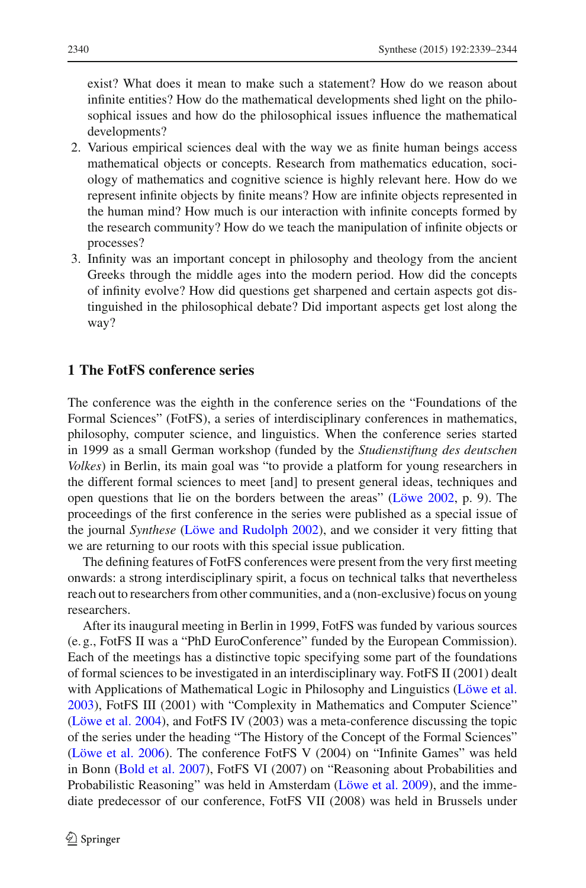exist? What does it mean to make such a statement? How do we reason about infinite entities? How do the mathematical developments shed light on the philosophical issues and how do the philosophical issues influence the mathematical developments?

- 2. Various empirical sciences deal with the way we as finite human beings access mathematical objects or concepts. Research from mathematics education, sociology of mathematics and cognitive science is highly relevant here. How do we represent infinite objects by finite means? How are infinite objects represented in the human mind? How much is our interaction with infinite concepts formed by the research community? How do we teach the manipulation of infinite objects or processes?
- 3. Infinity was an important concept in philosophy and theology from the ancient Greeks through the middle ages into the modern period. How did the concepts of infinity evolve? How did questions get sharpened and certain aspects got distinguished in the philosophical debate? Did important aspects get lost along the way?

### **1 The FotFS conference series**

The conference was the eighth in the conference series on the "Foundations of the Formal Sciences" (FotFS), a series of interdisciplinary conferences in mathematics, philosophy, computer science, and linguistics. When the conference series started in 1999 as a small German workshop (funded by the *Studienstiftung des deutschen Volkes*) in Berlin, its main goal was "to provide a platform for young researchers in the different formal sciences to meet [and] to present general ideas, techniques and open questions that lie on the borders between the areas" [\(Löwe 2002,](#page-5-0) p. 9). The proceedings of the first conference in the series were published as a special issue of the journal *Synthese* [\(Löwe and Rudolph 2002](#page-5-1)), and we consider it very fitting that we are returning to our roots with this special issue publication.

The defining features of FotFS conferences were present from the very first meeting onwards: a strong interdisciplinary spirit, a focus on technical talks that nevertheless reach out to researchers from other communities, and a (non-exclusive) focus on young researchers.

After its inaugural meeting in Berlin in 1999, FotFS was funded by various sources (e. g., FotFS II was a "PhD EuroConference" funded by the European Commission). Each of the meetings has a distinctive topic specifying some part of the foundations of formal sciences to be investigated in an interdisciplinary way. FotFS II (2001) dealt with Applications of Mathematical Logic in Philosophy and Linguistics [\(Löwe et al.](#page-5-2) [2003\)](#page-5-2), FotFS III (2001) with "Complexity in Mathematics and Computer Science" [\(Löwe et al. 2004](#page-5-3)), and FotFS IV (2003) was a meta-conference discussing the topic of the series under the heading "The History of the Concept of the Formal Sciences" [\(Löwe et al. 2006\)](#page-5-4). The conference FotFS V (2004) on "Infinite Games" was held in Bonn [\(Bold et al. 2007](#page-5-5)), FotFS VI (2007) on "Reasoning about Probabilities and Probabilistic Reasoning" was held in Amsterdam [\(Löwe et al. 2009\)](#page-5-6), and the immediate predecessor of our conference, FotFS VII (2008) was held in Brussels under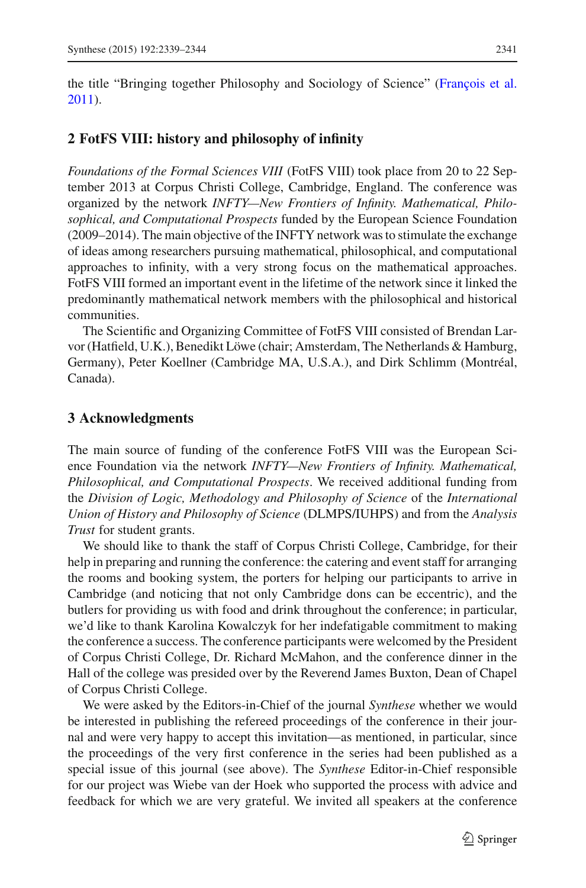the title "Bringing together Philosophy and Sociology of Science" [\(François et al.](#page-5-7) [2011\)](#page-5-7).

#### **2 FotFS VIII: history and philosophy of infinity**

*Foundations of the Formal Sciences VIII* (FotFS VIII) took place from 20 to 22 September 2013 at Corpus Christi College, Cambridge, England. The conference was organized by the network *INFTY—New Frontiers of Infinity. Mathematical, Philosophical, and Computational Prospects* funded by the European Science Foundation (2009–2014). The main objective of the INFTY network was to stimulate the exchange of ideas among researchers pursuing mathematical, philosophical, and computational approaches to infinity, with a very strong focus on the mathematical approaches. FotFS VIII formed an important event in the lifetime of the network since it linked the predominantly mathematical network members with the philosophical and historical communities.

The Scientific and Organizing Committee of FotFS VIII consisted of Brendan Larvor (Hatfield, U.K.), Benedikt Löwe (chair; Amsterdam, The Netherlands & Hamburg, Germany), Peter Koellner (Cambridge MA, U.S.A.), and Dirk Schlimm (Montréal, Canada).

#### **3 Acknowledgments**

The main source of funding of the conference FotFS VIII was the European Science Foundation via the network *INFTY—New Frontiers of Infinity. Mathematical, Philosophical, and Computational Prospects*. We received additional funding from the *Division of Logic, Methodology and Philosophy of Science* of the *International Union of History and Philosophy of Science* (DLMPS/IUHPS) and from the *Analysis Trust* for student grants.

We should like to thank the staff of Corpus Christi College, Cambridge, for their help in preparing and running the conference: the catering and event staff for arranging the rooms and booking system, the porters for helping our participants to arrive in Cambridge (and noticing that not only Cambridge dons can be eccentric), and the butlers for providing us with food and drink throughout the conference; in particular, we'd like to thank Karolina Kowalczyk for her indefatigable commitment to making the conference a success. The conference participants were welcomed by the President of Corpus Christi College, Dr. Richard McMahon, and the conference dinner in the Hall of the college was presided over by the Reverend James Buxton, Dean of Chapel of Corpus Christi College.

We were asked by the Editors-in-Chief of the journal *Synthese* whether we would be interested in publishing the refereed proceedings of the conference in their journal and were very happy to accept this invitation—as mentioned, in particular, since the proceedings of the very first conference in the series had been published as a special issue of this journal (see above). The *Synthese* Editor-in-Chief responsible for our project was Wiebe van der Hoek who supported the process with advice and feedback for which we are very grateful. We invited all speakers at the conference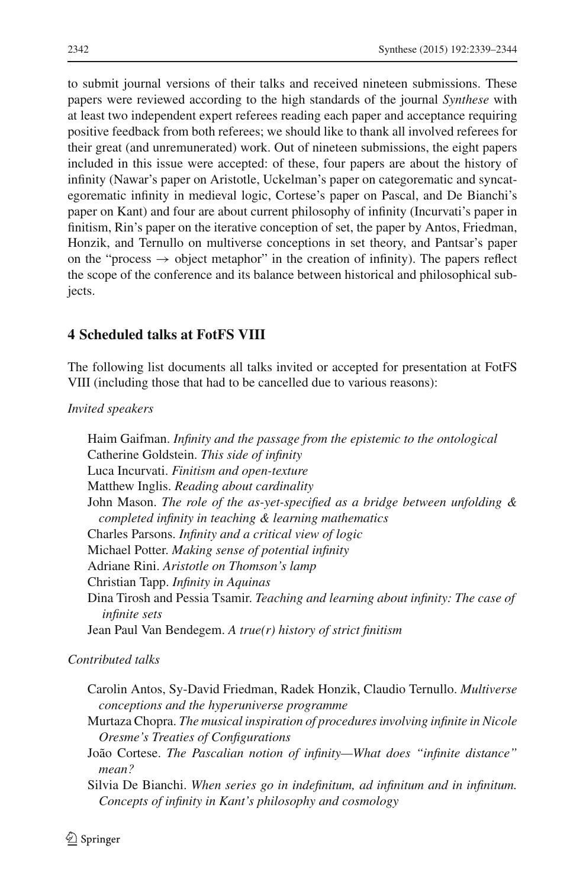to submit journal versions of their talks and received nineteen submissions. These papers were reviewed according to the high standards of the journal *Synthese* with at least two independent expert referees reading each paper and acceptance requiring positive feedback from both referees; we should like to thank all involved referees for their great (and unremunerated) work. Out of nineteen submissions, the eight papers included in this issue were accepted: of these, four papers are about the history of infinity (Nawar's paper on Aristotle, Uckelman's paper on categorematic and syncategorematic infinity in medieval logic, Cortese's paper on Pascal, and De Bianchi's paper on Kant) and four are about current philosophy of infinity (Incurvati's paper in finitism, Rin's paper on the iterative conception of set, the paper by Antos, Friedman, Honzik, and Ternullo on multiverse conceptions in set theory, and Pantsar's paper on the "process  $\rightarrow$  object metaphor" in the creation of infinity). The papers reflect the scope of the conference and its balance between historical and philosophical subjects.

## **4 Scheduled talks at FotFS VIII**

The following list documents all talks invited or accepted for presentation at FotFS VIII (including those that had to be cancelled due to various reasons):

*Invited speakers*

Haim Gaifman. *Infinity and the passage from the epistemic to the ontological* Catherine Goldstein. *This side of infinity* Luca Incurvati. *Finitism and open-texture* Matthew Inglis. *Reading about cardinality* John Mason. *The role of the as-yet-specified as a bridge between unfolding & completed infinity in teaching & learning mathematics* Charles Parsons. *Infinity and a critical view of logic* Michael Potter. *Making sense of potential infinity* Adriane Rini. *Aristotle on Thomson's lamp* Christian Tapp. *Infinity in Aquinas* Dina Tirosh and Pessia Tsamir. *Teaching and learning about infinity: The case of infinite sets* Jean Paul Van Bendegem. *A true(r) history of strict finitism*

### *Contributed talks*

Carolin Antos, Sy-David Friedman, Radek Honzik, Claudio Ternullo. *Multiverse conceptions and the hyperuniverse programme*

Murtaza Chopra. *The musical inspiration of procedures involving infinite in Nicole Oresme's Treaties of Configurations*

João Cortese. *The Pascalian notion of infinity—What does "infinite distance" mean?*

Silvia De Bianchi. *When series go in indefinitum, ad infinitum and in infinitum. Concepts of infinity in Kant's philosophy and cosmology*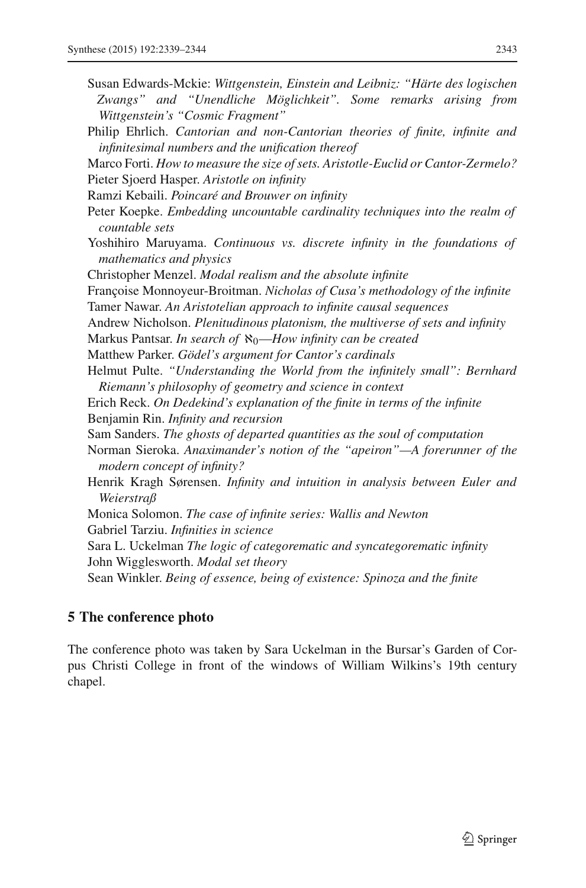- Susan Edwards-Mckie: *Wittgenstein, Einstein and Leibniz: "Härte des logischen Zwangs" and "Unendliche Möglichkeit". Some remarks arising from Wittgenstein's "Cosmic Fragment"*
- Philip Ehrlich. *Cantorian and non-Cantorian theories of finite, infinite and infinitesimal numbers and the unification thereof*
- Marco Forti. *How to measure the size of sets. Aristotle-Euclid or Cantor-Zermelo?* Pieter Sjoerd Hasper. *Aristotle on infinity*
- Ramzi Kebaili. *Poincaré and Brouwer on infinity*
- Peter Koepke. *Embedding uncountable cardinality techniques into the realm of countable sets*
- Yoshihiro Maruyama. *Continuous vs. discrete infinity in the foundations of mathematics and physics*
- Christopher Menzel. *Modal realism and the absolute infinite*
- Françoise Monnoyeur-Broitman. *Nicholas of Cusa's methodology of the infinite* Tamer Nawar. *An Aristotelian approach to infinite causal sequences*
- Andrew Nicholson. *Plenitudinous platonism, the multiverse of sets and infinity*
- Markus Pantsar. *In search of*  $\aleph_0$ —*How infinity can be created*
- Matthew Parker. *Gödel's argument for Cantor's cardinals*
- Helmut Pulte. *"Understanding the World from the infinitely small": Bernhard Riemann's philosophy of geometry and science in context*
- Erich Reck. *On Dedekind's explanation of the finite in terms of the infinite* Benjamin Rin. *Infinity and recursion*
- Sam Sanders. *The ghosts of departed quantities as the soul of computation*
- Norman Sieroka. *Anaximander's notion of the "apeiron"—A forerunner of the modern concept of infinity?*
- Henrik Kragh Sørensen. *Infinity and intuition in analysis between Euler and Weierstraß*
- Monica Solomon. *The case of infinite series: Wallis and Newton*
- Gabriel Tarziu. *Infinities in science*
- Sara L. Uckelman *The logic of categorematic and syncategorematic infinity* John Wigglesworth. *Modal set theory*
- Sean Winkler. *Being of essence, being of existence: Spinoza and the finite*

## **5 The conference photo**

The conference photo was taken by Sara Uckelman in the Bursar's Garden of Corpus Christi College in front of the windows of William Wilkins's 19th century chapel.